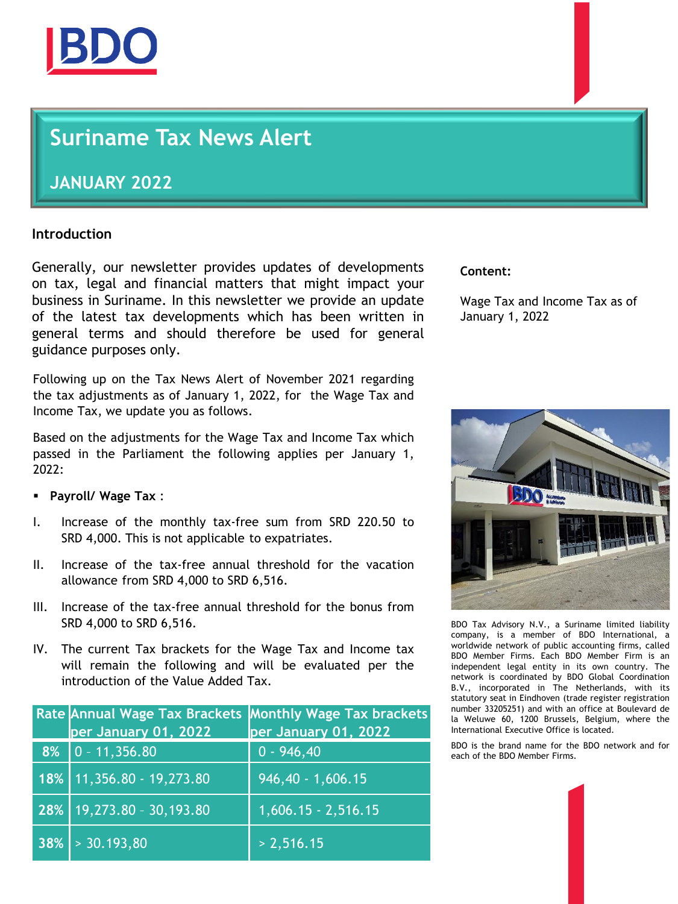

## **Suriname Tax News Alert**

## **JANUARY 2022**

## **Introduction**

Generally, our newsletter provides updates of developments on tax, legal and financial matters that might impact your business in Suriname. In this newsletter we provide an update of the latest tax developments which has been written in general terms and should therefore be used for general guidance purposes only.

Following up on the Tax News Alert of November 2021 regarding the tax adjustments as of January 1, 2022, for the Wage Tax and Income Tax, we update you as follows.

Based on the adjustments for the Wage Tax and Income Tax which passed in the Parliament the following applies per January 1, 2022:

- **Payroll/ Wage Tax** :
- I. Increase of the monthly tax-free sum from SRD 220.50 to SRD 4,000. This is not applicable to expatriates.
- II. Increase of the tax-free annual threshold for the vacation allowance from SRD 4,000 to SRD 6,516.
- III. Increase of the tax-free annual threshold for the bonus from SRD 4,000 to SRD 6,516.
- IV. The current Tax brackets for the Wage Tax and Income tax will remain the following and will be evaluated per the introduction of the Value Added Tax.

| per January 01, 2022           | Rate Annual Wage Tax Brackets Monthly Wage Tax brackets<br>per January 01, 2022 |
|--------------------------------|---------------------------------------------------------------------------------|
| $8\%$ 0 - 11,356.80            | $0 - 946,40$                                                                    |
| $18\%$   11,356.80 - 19,273.80 | $946,40 - 1,606.15$                                                             |
| $28\%$   19,273.80 - 30,193.80 | $1,606.15 - 2,516.15$                                                           |
| $38\% > 30.193,80$             | > 2,516.15                                                                      |

## **Content:**

Wage Tax and Income Tax as of January 1, 2022



BDO Tax Advisory N.V., a Suriname limited liability company, is a member of BDO International, a worldwide network of public accounting firms, called BDO Member Firms. Each BDO Member Firm is an independent legal entity in its own country. The network is coordinated by BDO Global Coordination B.V., incorporated in The Netherlands, with its statutory seat in Eindhoven (trade register registration number 33205251) and with an office at Boulevard de la Weluwe 60, 1200 Brussels, Belgium, where the International Executive Office is located.

BDO is the brand name for the BDO network and for each of the BDO Member Firms.